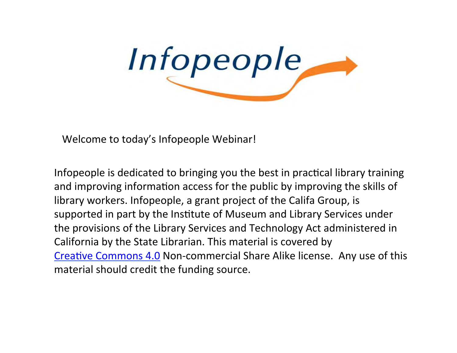

Welcome to today's Infopeople Webinar!

Infopeople is dedicated to bringing you the best in practical library training and improving information access for the public by improving the skills of library workers. Infopeople, a grant project of the Califa Group, is supported in part by the Institute of Museum and Library Services under the provisions of the Library Services and Technology Act administered in California by the State Librarian. This material is covered by Creative Commons 4.0 Non-commercial Share Alike license. Any use of this material should credit the funding source.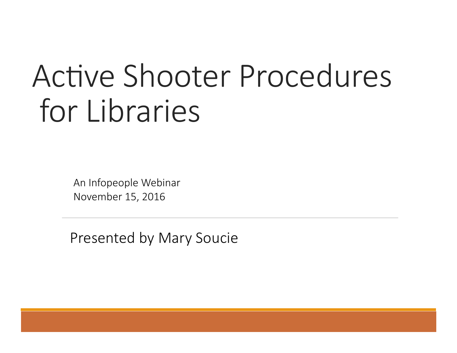# Active Shooter Procedures for Libraries

An Infopeople Webinar November 15, 2016

Presented by Mary Soucie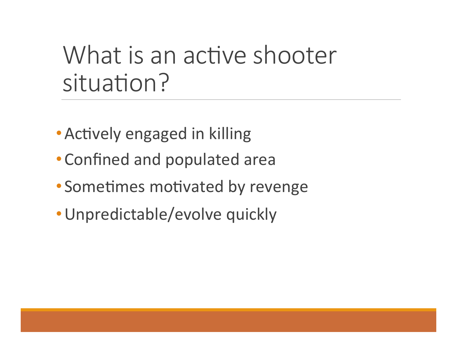## What is an active shooter situation?

- Actively engaged in killing
- Confined and populated area
- Sometimes motivated by revenge
- Unpredictable/evolve quickly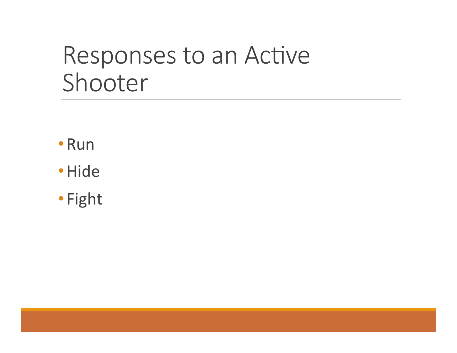## Responses to an Active Shooter

- •Run
- •Hide
- Fight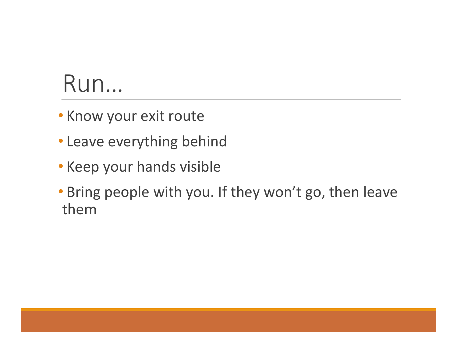## Run…

- Know your exit route
- Leave everything behind
- Keep your hands visible
- Bring people with you. If they won't go, then leave them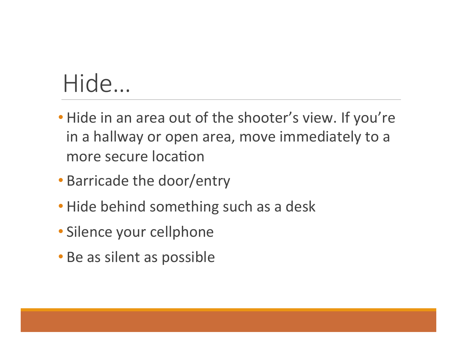## Hide…

- Hide in an area out of the shooter's view. If you're in a hallway or open area, move immediately to a more secure location
- Barricade the door/entry
- Hide behind something such as a desk
- Silence your cellphone
- Be as silent as possible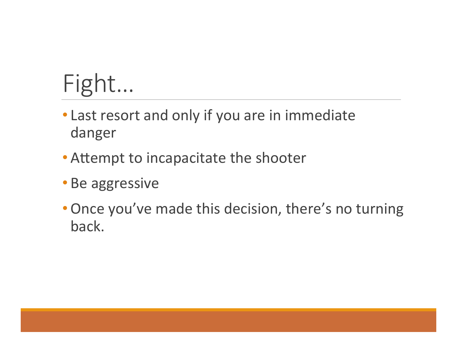## Fight…

- Last resort and only if you are in immediate danger
- Attempt to incapacitate the shooter
- Be aggressive
- Once you've made this decision, there's no turning back.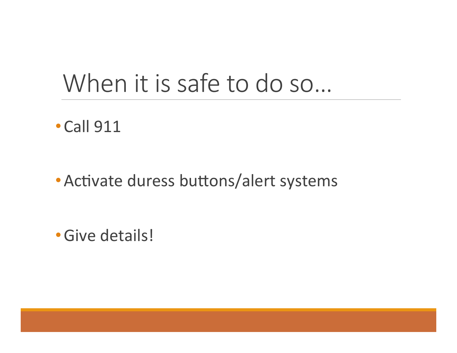## When it is safe to do so…

• Call 911

• Activate duress buttons/alert systems

•Give details!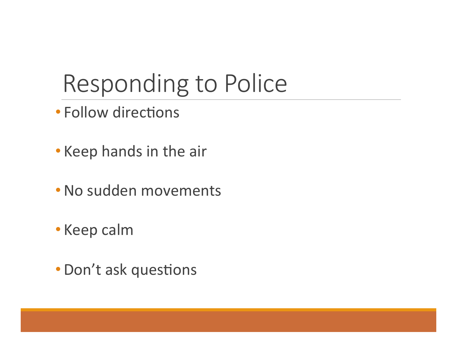## Responding to Police

• Follow directions

- Keep hands in the air
- No sudden movements
- Keep calm
- Don't ask questions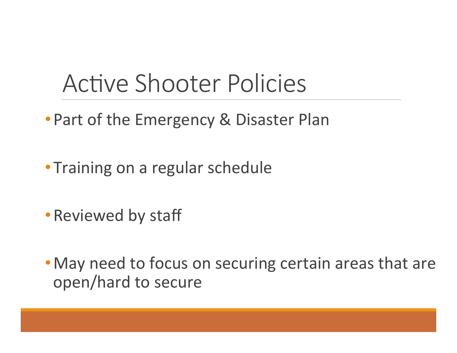## Active Shooter Policies

- Part of the Emergency & Disaster Plan
- Training on a regular schedule
- Reviewed by staff
- May need to focus on securing certain areas that are open/hard to secure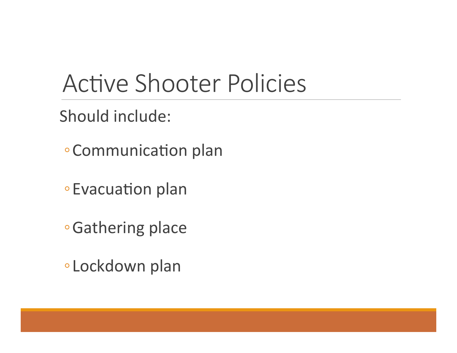## Active Shooter Policies

Should include:

- Communication plan
- Evacuation plan
- **∘Gathering place**
- Lockdown plan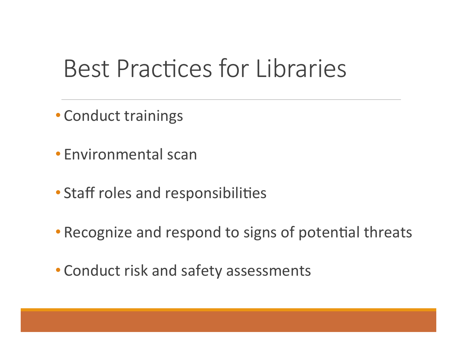## Best Practices for Libraries

• Conduct trainings

- Environmental scan
- Staff roles and responsibilities
- Recognize and respond to signs of potential threats
- Conduct risk and safety assessments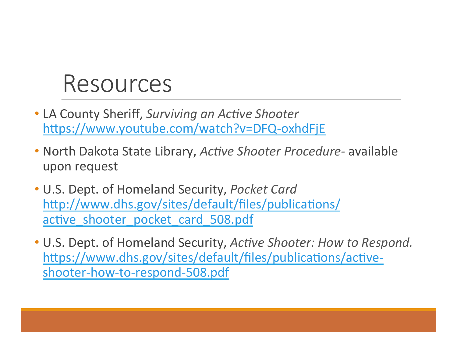#### Resources

- LA County Sheriff, *Surviving an Active Shooter* https://www.youtube.com/watch?v=DFQ-oxhdFjE
- North Dakota State Library, *Active Shooter Procedure-* available upon request
- U.S. Dept. of Homeland Security, *Pocket Card* http://www.dhs.gov/sites/default/files/publications/ active shooter pocket card 508.pdf
- U.S. Dept. of Homeland Security, *Active Shooter: How to Respond.* https://www.dhs.gov/sites/default/files/publications/activeshooter-how-to-respond-508.pdf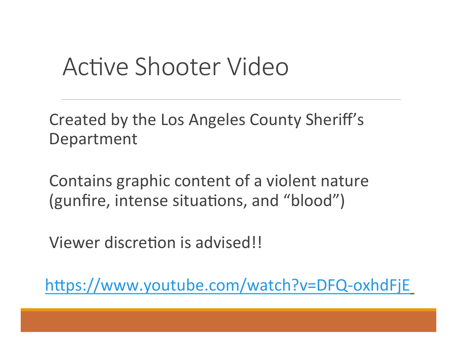## Active Shooter Video

Created by the Los Angeles County Sheriff's Department 

Contains graphic content of a violent nature (gunfire, intense situations, and "blood")

Viewer discretion is advised!!

https://www.youtube.com/watch?v=DFQ-oxhdFjE